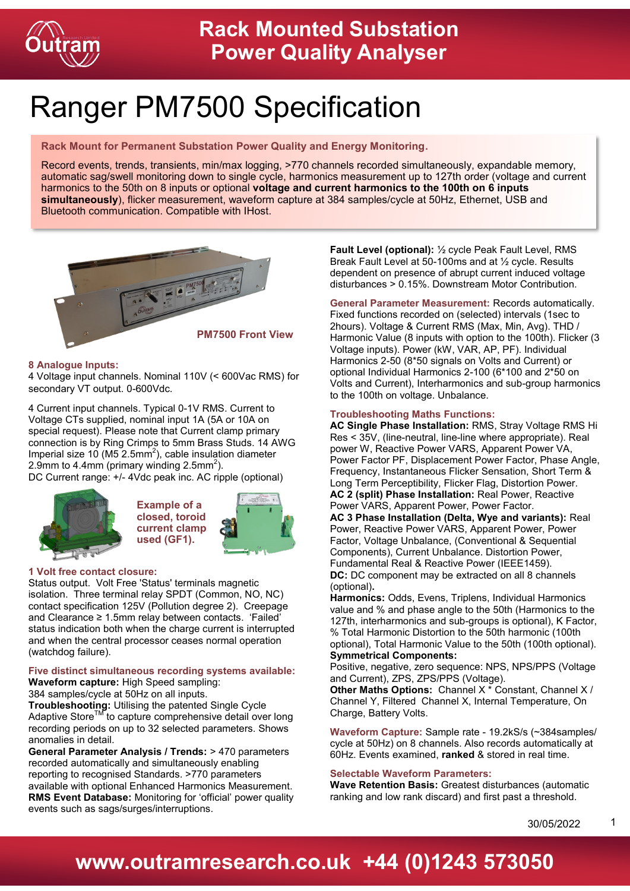

# Ranger PM7500 Specification

### **Rack Mount for Permanent Substation Power Quality and Energy Monitoring.**

Record events, trends, transients, min/max logging, >770 channels recorded simultaneously, expandable memory, automatic sag/swell monitoring down to single cycle, harmonics measurement up to 127th order (voltage and current harmonics to the 50th on 8 inputs or optional **voltage and current harmonics to the 100th on 6 inputs simultaneously**), flicker measurement, waveform capture at 384 samples/cycle at 50Hz, Ethernet, USB and Bluetooth communication. Compatible with IHost.



### **8 Analogue Inputs:**

4 Voltage input channels. Nominal 110V (< 600Vac RMS) for secondary VT output. 0-600Vdc.

4 Current input channels. Typical 0-1V RMS. Current to Voltage CTs supplied, nominal input 1A (5A or 10A on special request). Please note that Current clamp primary connection is by Ring Crimps to 5mm Brass Studs. 14 AWG Imperial size 10 (M5  $2.5$ mm<sup>2</sup>), cable insulation diameter 2.9mm to 4.4mm (primary winding 2.5mm<sup>2</sup>).

DC Current range: +/- 4Vdc peak inc. AC ripple (optional)





### **1 Volt free contact closure:**

Status output. Volt Free 'Status' terminals magnetic isolation. Three terminal relay SPDT (Common, NO, NC) contact specification 125V (Pollution degree 2). Creepage and Clearance ≥ 1.5mm relay between contacts. 'Failed' status indication both when the charge current is interrupted and when the central processor ceases normal operation (watchdog failure).

#### **Five distinct simultaneous recording systems available: Waveform capture:** High Speed sampling:

384 samples/cycle at 50Hz on all inputs.

**Troubleshooting:** Utilising the patented Single Cycle Adaptive Store™ to capture comprehensive detail over long recording periods on up to 32 selected parameters. Shows anomalies in detail.

**General Parameter Analysis / Trends:** > 470 parameters recorded automatically and simultaneously enabling reporting to recognised Standards. >770 parameters available with optional Enhanced Harmonics Measurement. **RMS Event Database:** Monitoring for 'official' power quality events such as sags/surges/interruptions.

**Fault Level (optional):** ½ cycle Peak Fault Level, RMS Break Fault Level at 50-100ms and at ½ cycle. Results dependent on presence of abrupt current induced voltage disturbances > 0.15%. Downstream Motor Contribution.

**General Parameter Measurement:** Records automatically. Fixed functions recorded on (selected) intervals (1sec to 2hours). Voltage & Current RMS (Max, Min, Avg). THD / Harmonic Value (8 inputs with option to the 100th). Flicker (3 Voltage inputs). Power (kW, VAR, AP, PF). Individual Harmonics 2-50 (8\*50 signals on Volts and Current) or optional Individual Harmonics 2-100 (6\*100 and 2\*50 on Volts and Current), Interharmonics and sub-group harmonics to the 100th on voltage. Unbalance.

### **Troubleshooting Maths Functions:**

**AC Single Phase Installation:** RMS, Stray Voltage RMS Hi Res < 35V, (line-neutral, line-line where appropriate). Real power W, Reactive Power VARS, Apparent Power VA, Power Factor PF, Displacement Power Factor, Phase Angle, Frequency, Instantaneous Flicker Sensation, Short Term & Long Term Perceptibility, Flicker Flag, Distortion Power. **AC 2 (split) Phase Installation:** Real Power, Reactive Power VARS, Apparent Power, Power Factor.

**AC 3 Phase Installation (Delta, Wye and variants):** Real Power, Reactive Power VARS, Apparent Power, Power Factor, Voltage Unbalance, (Conventional & Sequential Components), Current Unbalance. Distortion Power, Fundamental Real & Reactive Power (IEEE1459). **DC:** DC component may be extracted on all 8 channels (optional)**.**

**Harmonics:** Odds, Evens, Triplens, Individual Harmonics value and % and phase angle to the 50th (Harmonics to the 127th, interharmonics and sub-groups is optional), K Factor, % Total Harmonic Distortion to the 50th harmonic (100th optional), Total Harmonic Value to the 50th (100th optional). **Symmetrical Components:**

Positive, negative, zero sequence: NPS, NPS/PPS (Voltage and Current), ZPS, ZPS/PPS (Voltage).

**Other Maths Options:** Channel X \* Constant, Channel X / Channel Y, Filtered Channel X, Internal Temperature, On Charge, Battery Volts.

**Waveform Capture:** Sample rate - 19.2kS/s (~384samples/ cycle at 50Hz) on 8 channels. Also records automatically at 60Hz. Events examined, **ranked** & stored in real time.

#### **Selectable Waveform Parameters:**

**Wave Retention Basis:** Greatest disturbances (automatic ranking and low rank discard) and first past a threshold.

30/05/2022

1

### **www.outramresearch.co.uk +44 (0)1243 573050**